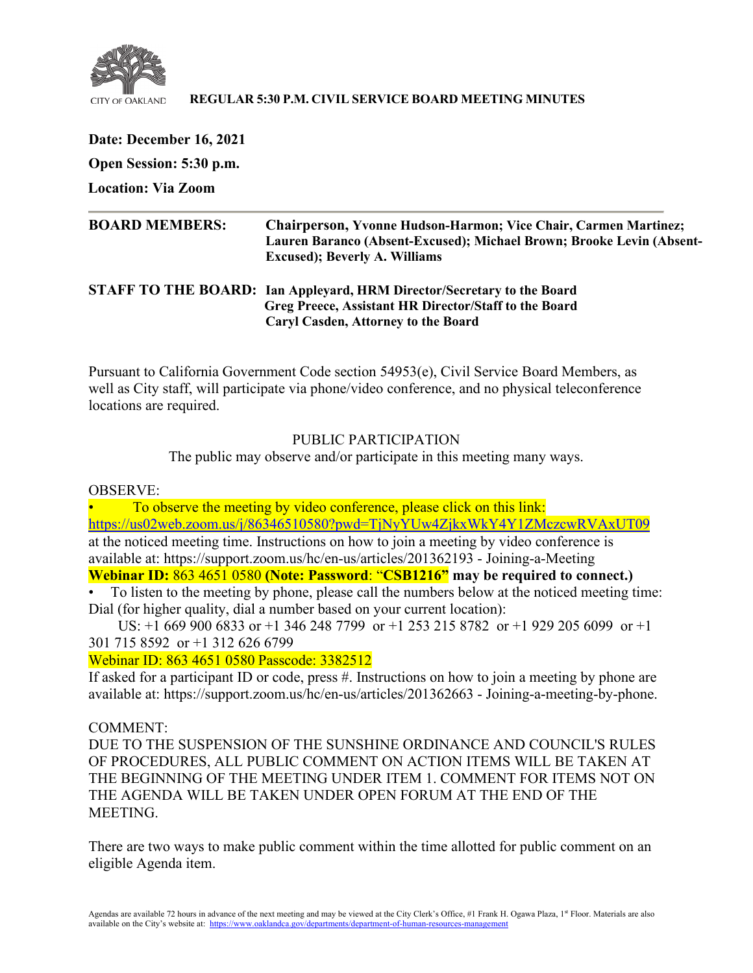

#### **REGULAR 5:30 P.M. CIVIL SERVICE BOARD MEETING MINUTES**

**Date: December 16, 2021 Open Session: 5:30 p.m.** 

**Location: Via Zoom** 

| <b>BOARD MEMBERS:</b> | <b>Chairperson, Yvonne Hudson-Harmon; Vice Chair, Carmen Martinez;</b> |
|-----------------------|------------------------------------------------------------------------|
|                       | Lauren Baranco (Absent-Excused); Michael Brown; Brooke Levin (Absent-  |
|                       | <b>Excused</b> ); Beverly A. Williams                                  |
|                       |                                                                        |

## **STAFF TO THE BOARD: Ian Appleyard, HRM Director/Secretary to the Board Greg Preece, Assistant HR Director/Staff to the Board Caryl Casden, Attorney to the Board**

Pursuant to California Government Code section 54953(e), Civil Service Board Members, as well as City staff, will participate via phone/video conference, and no physical teleconference locations are required.

PUBLIC PARTICIPATION

The public may observe and/or participate in this meeting many ways.

OBSERVE:

• To observe the meeting by video conference, please click on this link: <https://us02web.zoom.us/j/86346510580?pwd=TjNyYUw4ZjkxWkY4Y1ZMczcwRVAxUT09> at the noticed meeting time. Instructions on how to join a meeting by video conference is available at: https://support.zoom.us/hc/en-us/articles/201362193 - Joining-a-Meeting **Webinar ID:** 863 4651 0580 **(Note: Password**: "**CSB1216" may be required to connect.)**

• To listen to the meeting by phone, please call the numbers below at the noticed meeting time: Dial (for higher quality, dial a number based on your current location):

 US: +1 669 900 6833 or +1 346 248 7799 or +1 253 215 8782 or +1 929 205 6099 or +1 301 715 8592 or +1 312 626 6799

Webinar ID: 863 4651 0580 Passcode: 3382512

If asked for a participant ID or code, press #. Instructions on how to join a meeting by phone are available at: https://support.zoom.us/hc/en-us/articles/201362663 - Joining-a-meeting-by-phone.

COMMENT:

DUE TO THE SUSPENSION OF THE SUNSHINE ORDINANCE AND COUNCIL'S RULES OF PROCEDURES, ALL PUBLIC COMMENT ON ACTION ITEMS WILL BE TAKEN AT THE BEGINNING OF THE MEETING UNDER ITEM 1. COMMENT FOR ITEMS NOT ON THE AGENDA WILL BE TAKEN UNDER OPEN FORUM AT THE END OF THE MEETING.

There are two ways to make public comment within the time allotted for public comment on an eligible Agenda item.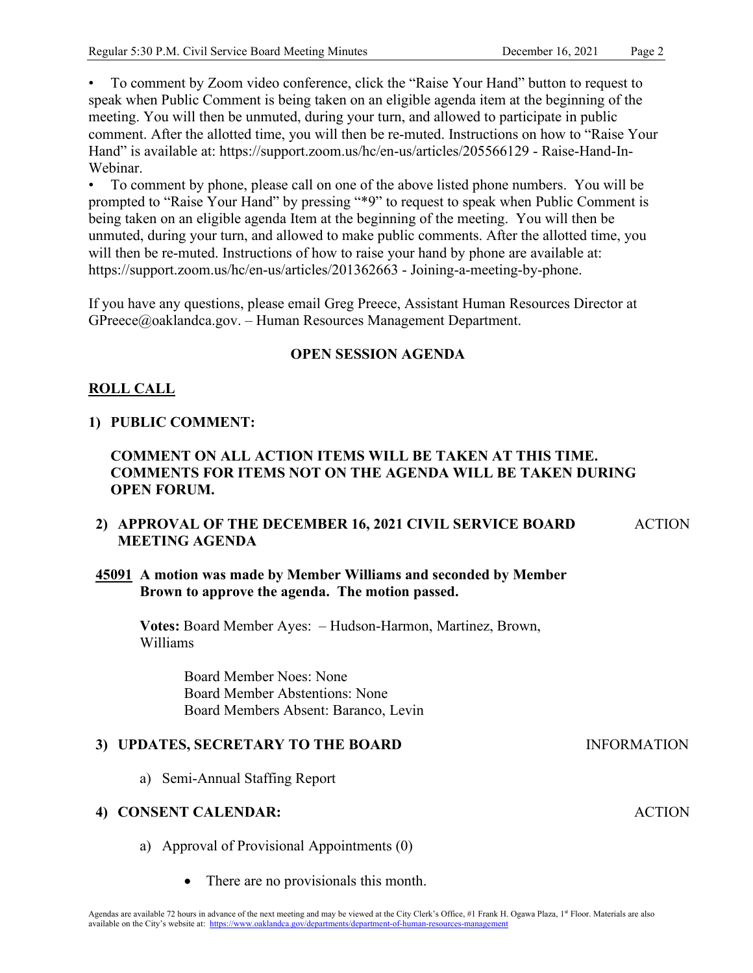INFORMATION

ACTION

• To comment by Zoom video conference, click the "Raise Your Hand" button to request to speak when Public Comment is being taken on an eligible agenda item at the beginning of the meeting. You will then be unmuted, during your turn, and allowed to participate in public comment. After the allotted time, you will then be re-muted. Instructions on how to "Raise Your Hand" is available at: https://support.zoom.us/hc/en-us/articles/205566129 - Raise-Hand-In-Webinar.

• To comment by phone, please call on one of the above listed phone numbers. You will be prompted to "Raise Your Hand" by pressing "\*9" to request to speak when Public Comment is being taken on an eligible agenda Item at the beginning of the meeting. You will then be unmuted, during your turn, and allowed to make public comments. After the allotted time, you will then be re-muted. Instructions of how to raise your hand by phone are available at: https://support.zoom.us/hc/en-us/articles/201362663 - Joining-a-meeting-by-phone.

If you have any questions, please email Greg Preece, Assistant Human Resources Director at GPreece@oaklandca.gov. – Human Resources Management Department.

## **OPEN SESSION AGENDA**

## **ROLL CALL**

#### **1) PUBLIC COMMENT:**

## **COMMENT ON ALL ACTION ITEMS WILL BE TAKEN AT THIS TIME. COMMENTS FOR ITEMS NOT ON THE AGENDA WILL BE TAKEN DURING OPEN FORUM.**

#### **2) APPROVAL OF THE DECEMBER 16, 2021 CIVIL SERVICE BOARD MEETING AGENDA** ACTION

## **45091 A motion was made by Member Williams and seconded by Member Brown to approve the agenda. The motion passed.**

**Votes:** Board Member Ayes: – Hudson-Harmon, Martinez, Brown, Williams

> Board Member Noes: None Board Member Abstentions: None Board Members Absent: Baranco, Levin

## **3) UPDATES, SECRETARY TO THE BOARD**

a) Semi-Annual Staffing Report

#### **4) CONSENT CALENDAR:**

- a) Approval of Provisional Appointments (0)
	- There are no provisionals this month.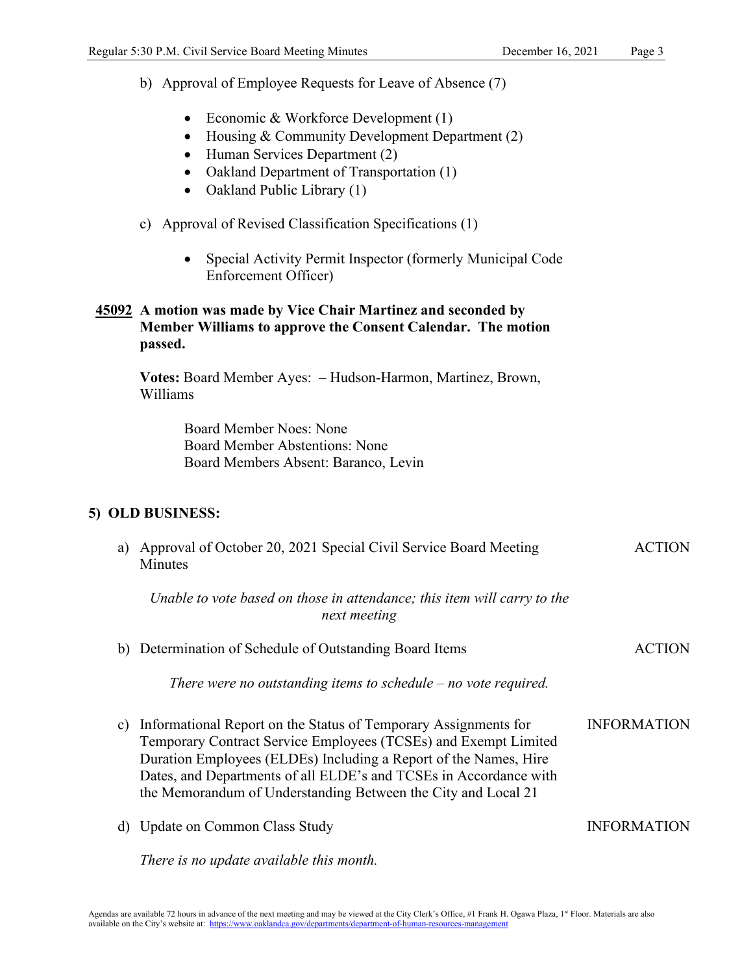b) Approval of Employee Requests for Leave of Absence (7)

- Economic & Workforce Development (1)
- Housing & Community Development Department (2)
- Human Services Department (2)
- Oakland Department of Transportation (1)
- Oakland Public Library (1)
- c) Approval of Revised Classification Specifications (1)
	- Special Activity Permit Inspector (formerly Municipal Code Enforcement Officer)

## **45092 A motion was made by Vice Chair Martinez and seconded by Member Williams to approve the Consent Calendar. The motion passed.**

**Votes:** Board Member Ayes: – Hudson-Harmon, Martinez, Brown, Williams

> Board Member Noes: None Board Member Abstentions: None Board Members Absent: Baranco, Levin

## **5) OLD BUSINESS:**

| a) | Approval of October 20, 2021 Special Civil Service Board Meeting<br>Minutes                                                                                                                                                                                                                                                                  | <b>ACTION</b>      |
|----|----------------------------------------------------------------------------------------------------------------------------------------------------------------------------------------------------------------------------------------------------------------------------------------------------------------------------------------------|--------------------|
|    | Unable to vote based on those in attendance; this item will carry to the<br>next meeting                                                                                                                                                                                                                                                     |                    |
|    | b) Determination of Schedule of Outstanding Board Items                                                                                                                                                                                                                                                                                      | <b>ACTION</b>      |
|    | There were no outstanding items to schedule $-$ no vote required.                                                                                                                                                                                                                                                                            |                    |
| C) | Informational Report on the Status of Temporary Assignments for<br>Temporary Contract Service Employees (TCSEs) and Exempt Limited<br>Duration Employees (ELDEs) Including a Report of the Names, Hire<br>Dates, and Departments of all ELDE's and TCSEs in Accordance with<br>the Memorandum of Understanding Between the City and Local 21 | <b>INFORMATION</b> |
| d) | Update on Common Class Study                                                                                                                                                                                                                                                                                                                 | <b>INFORMATION</b> |
|    | There is no update available this month.                                                                                                                                                                                                                                                                                                     |                    |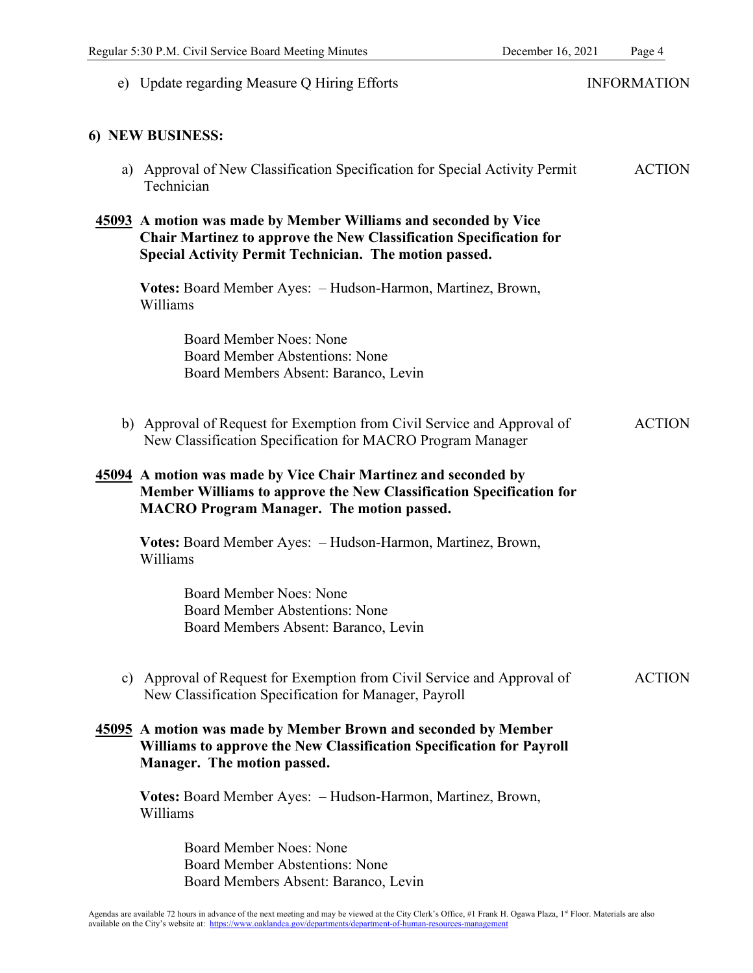| e) Update regarding Measure Q Hiring Efforts                                                                                                                                                           | <b>INFORMATION</b> |
|--------------------------------------------------------------------------------------------------------------------------------------------------------------------------------------------------------|--------------------|
| 6) NEW BUSINESS:                                                                                                                                                                                       |                    |
| a) Approval of New Classification Specification for Special Activity Permit<br>Technician                                                                                                              | <b>ACTION</b>      |
| 45093 A motion was made by Member Williams and seconded by Vice<br><b>Chair Martinez to approve the New Classification Specification for</b><br>Special Activity Permit Technician. The motion passed. |                    |
| Votes: Board Member Ayes: - Hudson-Harmon, Martinez, Brown,<br>Williams                                                                                                                                |                    |
| <b>Board Member Noes: None</b><br><b>Board Member Abstentions: None</b><br>Board Members Absent: Baranco, Levin                                                                                        |                    |
| b) Approval of Request for Exemption from Civil Service and Approval of<br>New Classification Specification for MACRO Program Manager                                                                  | <b>ACTION</b>      |
| 45094 A motion was made by Vice Chair Martinez and seconded by<br>Member Williams to approve the New Classification Specification for<br><b>MACRO Program Manager. The motion passed.</b>              |                    |
| Votes: Board Member Ayes: - Hudson-Harmon, Martinez, Brown,<br>Williams                                                                                                                                |                    |
| <b>Board Member Noes: None</b><br><b>Board Member Abstentions: None</b><br>Board Members Absent: Baranco, Levin                                                                                        |                    |
| c) Approval of Request for Exemption from Civil Service and Approval of<br>New Classification Specification for Manager, Payroll                                                                       | <b>ACTION</b>      |
| 45095 A motion was made by Member Brown and seconded by Member<br>Williams to approve the New Classification Specification for Payroll<br>Manager. The motion passed.                                  |                    |
| Votes: Board Member Ayes: - Hudson-Harmon, Martinez, Brown,<br>Williams                                                                                                                                |                    |
| <b>Board Member Noes: None</b><br><b>Board Member Abstentions: None</b><br>Board Members Absent: Baranco, Levin                                                                                        |                    |